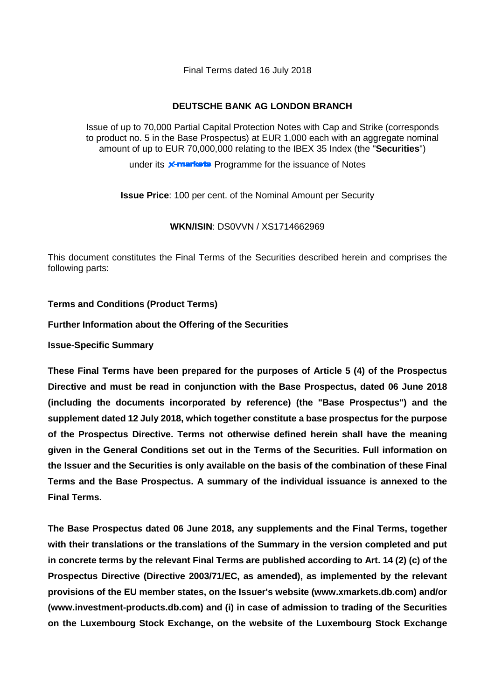Final Terms dated 16 July 2018

## **DEUTSCHE BANK AG LONDON BRANCH**

Issue of up to 70,000 Partial Capital Protection Notes with Cap and Strike (corresponds to product no. 5 in the Base Prospectus) at EUR 1,000 each with an aggregate nominal amount of up to EUR 70,000,000 relating to the IBEX 35 Index (the "**Securities**")

under its **x-markets** Programme for the issuance of Notes

**Issue Price**: 100 per cent. of the Nominal Amount per Security

**WKN/ISIN**: DS0VVN / XS1714662969

This document constitutes the Final Terms of the Securities described herein and comprises the following parts:

**Terms and Conditions (Product Terms)**

## **Further Information about the Offering of the Securities**

**Issue-Specific Summary**

**These Final Terms have been prepared for the purposes of Article 5 (4) of the Prospectus Directive and must be read in conjunction with the Base Prospectus, dated 06 June 2018 (including the documents incorporated by reference) (the "Base Prospectus") and the supplement dated 12 July 2018, which together constitute a base prospectus for the purpose of the Prospectus Directive. Terms not otherwise defined herein shall have the meaning given in the General Conditions set out in the Terms of the Securities. Full information on the Issuer and the Securities is only available on the basis of the combination of these Final Terms and the Base Prospectus. A summary of the individual issuance is annexed to the Final Terms.**

**The Base Prospectus dated 06 June 2018, any supplements and the Final Terms, together with their translations or the translations of the Summary in the version completed and put in concrete terms by the relevant Final Terms are published according to Art. 14 (2) (c) of the Prospectus Directive (Directive 2003/71/EC, as amended), as implemented by the relevant provisions of the EU member states, on the Issuer's website (www.xmarkets.db.com) and/or (www.investment-products.db.com) and (i) in case of admission to trading of the Securities on the Luxembourg Stock Exchange, on the website of the Luxembourg Stock Exchange**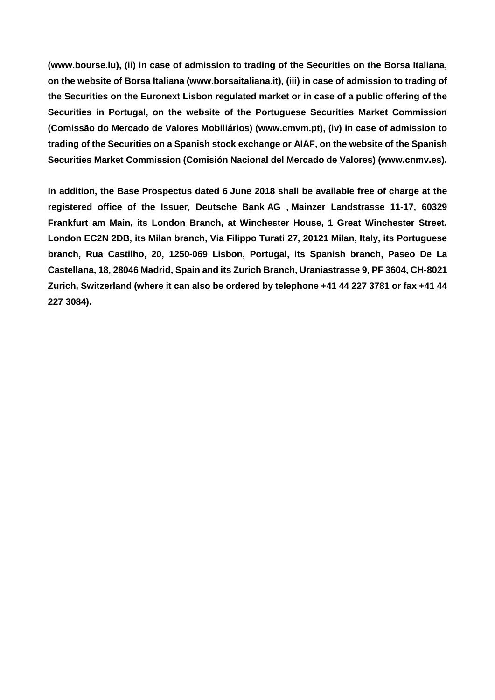**(www.bourse.lu), (ii) in case of admission to trading of the Securities on the Borsa Italiana, on the website of Borsa Italiana (www.borsaitaliana.it), (iii) in case of admission to trading of the Securities on the Euronext Lisbon regulated market or in case of a public offering of the Securities in Portugal, on the website of the Portuguese Securities Market Commission (Comissão do Mercado de Valores Mobiliários) (www.cmvm.pt), (iv) in case of admission to trading of the Securities on a Spanish stock exchange or AIAF, on the website of the Spanish Securities Market Commission (Comisión Nacional del Mercado de Valores) [\(www.cnmv.es\)](http://www.cnmv.es/).**

**In addition, the Base Prospectus dated 6 June 2018 shall be available free of charge at the registered office of the Issuer, Deutsche Bank AG , Mainzer Landstrasse 11-17, 60329 Frankfurt am Main, its London Branch, at Winchester House, 1 Great Winchester Street, London EC2N 2DB, its Milan branch, Via Filippo Turati 27, 20121 Milan, Italy, its Portuguese branch, Rua Castilho, 20, 1250-069 Lisbon, Portugal, its Spanish branch, Paseo De La Castellana, 18, 28046 Madrid, Spain and its Zurich Branch, Uraniastrasse 9, PF 3604, CH-8021 Zurich, Switzerland (where it can also be ordered by telephone +41 44 227 3781 or fax +41 44 227 3084).**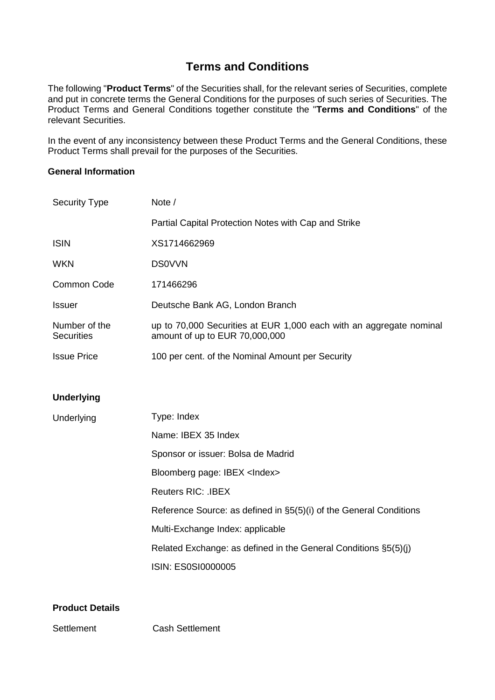## **Terms and Conditions**

The following "**Product Terms**" of the Securities shall, for the relevant series of Securities, complete and put in concrete terms the General Conditions for the purposes of such series of Securities. The Product Terms and General Conditions together constitute the "**Terms and Conditions**" of the relevant Securities.

In the event of any inconsistency between these Product Terms and the General Conditions, these Product Terms shall prevail for the purposes of the Securities.

## **General Information**

| <b>Security Type</b>               | Note /                                                                                                |
|------------------------------------|-------------------------------------------------------------------------------------------------------|
|                                    | Partial Capital Protection Notes with Cap and Strike                                                  |
| <b>ISIN</b>                        | XS1714662969                                                                                          |
| <b>WKN</b>                         | <b>DS0VVN</b>                                                                                         |
| Common Code                        | 171466296                                                                                             |
| <b>Issuer</b>                      | Deutsche Bank AG, London Branch                                                                       |
| Number of the<br><b>Securities</b> | up to 70,000 Securities at EUR 1,000 each with an aggregate nominal<br>amount of up to EUR 70,000,000 |
| <b>Issue Price</b>                 | 100 per cent. of the Nominal Amount per Security                                                      |
|                                    |                                                                                                       |
| <b>Underlying</b>                  |                                                                                                       |
| Underlying                         | Type: Index                                                                                           |
|                                    | Name: IBEX 35 Index                                                                                   |
|                                    | Sponsor or issuer: Bolsa de Madrid                                                                    |
|                                    | Bloomberg page: IBEX <index></index>                                                                  |
|                                    | <b>Reuters RIC: .IBEX</b>                                                                             |
|                                    | Reference Source: as defined in §5(5)(i) of the General Conditions                                    |
|                                    | Multi-Exchange Index: applicable                                                                      |
|                                    | Related Exchange: as defined in the General Conditions §5(5)(j)                                       |
|                                    | ISIN: ES0SI0000005                                                                                    |
|                                    |                                                                                                       |

## **Product Details**

Settlement Cash Settlement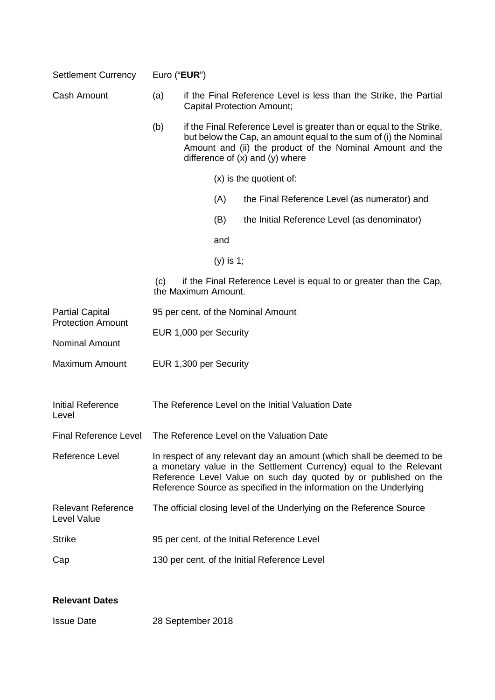| <b>Settlement Currency</b>                         | Euro (" <b>EUR</b> ")              |                                                                                                                                                                                                                                                                                      |  |  |
|----------------------------------------------------|------------------------------------|--------------------------------------------------------------------------------------------------------------------------------------------------------------------------------------------------------------------------------------------------------------------------------------|--|--|
| <b>Cash Amount</b>                                 | (a)                                | if the Final Reference Level is less than the Strike, the Partial<br><b>Capital Protection Amount;</b>                                                                                                                                                                               |  |  |
|                                                    | (b)                                | if the Final Reference Level is greater than or equal to the Strike,<br>but below the Cap, an amount equal to the sum of (i) the Nominal<br>Amount and (ii) the product of the Nominal Amount and the<br>difference of $(x)$ and $(y)$ where                                         |  |  |
|                                                    |                                    | (x) is the quotient of:                                                                                                                                                                                                                                                              |  |  |
|                                                    |                                    | (A)<br>the Final Reference Level (as numerator) and                                                                                                                                                                                                                                  |  |  |
|                                                    |                                    | (B)<br>the Initial Reference Level (as denominator)                                                                                                                                                                                                                                  |  |  |
|                                                    |                                    | and                                                                                                                                                                                                                                                                                  |  |  |
|                                                    |                                    | $(y)$ is 1;                                                                                                                                                                                                                                                                          |  |  |
|                                                    | (C)                                | if the Final Reference Level is equal to or greater than the Cap,<br>the Maximum Amount.                                                                                                                                                                                             |  |  |
| <b>Partial Capital</b><br><b>Protection Amount</b> | 95 per cent. of the Nominal Amount |                                                                                                                                                                                                                                                                                      |  |  |
| <b>Nominal Amount</b>                              | EUR 1,000 per Security             |                                                                                                                                                                                                                                                                                      |  |  |
| <b>Maximum Amount</b>                              |                                    |                                                                                                                                                                                                                                                                                      |  |  |
|                                                    |                                    | EUR 1,300 per Security                                                                                                                                                                                                                                                               |  |  |
| <b>Initial Reference</b><br>Level                  |                                    | The Reference Level on the Initial Valuation Date                                                                                                                                                                                                                                    |  |  |
| <b>Final Reference Level</b>                       |                                    | The Reference Level on the Valuation Date                                                                                                                                                                                                                                            |  |  |
| Reference Level                                    |                                    | In respect of any relevant day an amount (which shall be deemed to be<br>a monetary value in the Settlement Currency) equal to the Relevant<br>Reference Level Value on such day quoted by or published on the<br>Reference Source as specified in the information on the Underlying |  |  |
| <b>Relevant Reference</b><br>Level Value           |                                    | The official closing level of the Underlying on the Reference Source                                                                                                                                                                                                                 |  |  |
| <b>Strike</b>                                      |                                    | 95 per cent. of the Initial Reference Level                                                                                                                                                                                                                                          |  |  |
| Cap                                                |                                    | 130 per cent. of the Initial Reference Level                                                                                                                                                                                                                                         |  |  |
| <b>Relevant Dates</b>                              |                                    |                                                                                                                                                                                                                                                                                      |  |  |
|                                                    |                                    |                                                                                                                                                                                                                                                                                      |  |  |

Issue Date 28 September 2018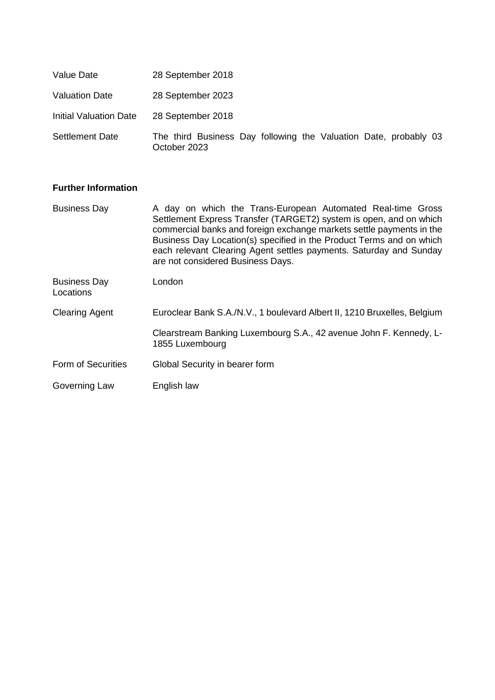| Value Date                    | 28 September 2018                                                                |  |  |  |  |
|-------------------------------|----------------------------------------------------------------------------------|--|--|--|--|
| <b>Valuation Date</b>         | 28 September 2023                                                                |  |  |  |  |
| <b>Initial Valuation Date</b> | 28 September 2018                                                                |  |  |  |  |
| <b>Settlement Date</b>        | The third Business Day following the Valuation Date, probably 03<br>October 2023 |  |  |  |  |

## **Further Information**

| <b>Business Day</b>              | A day on which the Trans-European Automated Real-time Gross<br>Settlement Express Transfer (TARGET2) system is open, and on which<br>commercial banks and foreign exchange markets settle payments in the<br>Business Day Location(s) specified in the Product Terms and on which<br>each relevant Clearing Agent settles payments. Saturday and Sunday<br>are not considered Business Days. |
|----------------------------------|----------------------------------------------------------------------------------------------------------------------------------------------------------------------------------------------------------------------------------------------------------------------------------------------------------------------------------------------------------------------------------------------|
| <b>Business Day</b><br>Locations | London                                                                                                                                                                                                                                                                                                                                                                                       |
| <b>Clearing Agent</b>            | Euroclear Bank S.A./N.V., 1 boulevard Albert II, 1210 Bruxelles, Belgium                                                                                                                                                                                                                                                                                                                     |
|                                  | Clearstream Banking Luxembourg S.A., 42 avenue John F. Kennedy, L-<br>1855 Luxembourg                                                                                                                                                                                                                                                                                                        |
| Form of Securities               | Global Security in bearer form                                                                                                                                                                                                                                                                                                                                                               |
| Governing Law                    | English law                                                                                                                                                                                                                                                                                                                                                                                  |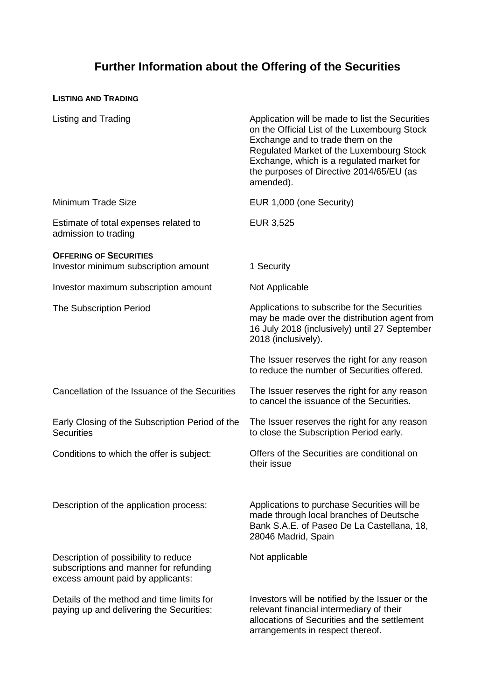# **Further Information about the Offering of the Securities**

## **LISTING AND TRADING**

| Listing and Trading                                                                                                 | Application will be made to list the Securities<br>on the Official List of the Luxembourg Stock<br>Exchange and to trade them on the<br>Regulated Market of the Luxembourg Stock<br>Exchange, which is a regulated market for<br>the purposes of Directive 2014/65/EU (as<br>amended). |
|---------------------------------------------------------------------------------------------------------------------|----------------------------------------------------------------------------------------------------------------------------------------------------------------------------------------------------------------------------------------------------------------------------------------|
| <b>Minimum Trade Size</b>                                                                                           | EUR 1,000 (one Security)                                                                                                                                                                                                                                                               |
| Estimate of total expenses related to<br>admission to trading                                                       | EUR 3,525                                                                                                                                                                                                                                                                              |
| <b>OFFERING OF SECURITIES</b><br>Investor minimum subscription amount                                               | 1 Security                                                                                                                                                                                                                                                                             |
| Investor maximum subscription amount                                                                                | Not Applicable                                                                                                                                                                                                                                                                         |
| <b>The Subscription Period</b>                                                                                      | Applications to subscribe for the Securities<br>may be made over the distribution agent from<br>16 July 2018 (inclusively) until 27 September<br>2018 (inclusively).                                                                                                                   |
|                                                                                                                     | The Issuer reserves the right for any reason<br>to reduce the number of Securities offered.                                                                                                                                                                                            |
| Cancellation of the Issuance of the Securities                                                                      | The Issuer reserves the right for any reason<br>to cancel the issuance of the Securities.                                                                                                                                                                                              |
| Early Closing of the Subscription Period of the<br><b>Securities</b>                                                | The Issuer reserves the right for any reason<br>to close the Subscription Period early.                                                                                                                                                                                                |
| Conditions to which the offer is subject:                                                                           | Offers of the Securities are conditional on<br>their issue                                                                                                                                                                                                                             |
| Description of the application process:                                                                             | Applications to purchase Securities will be<br>made through local branches of Deutsche<br>Bank S.A.E. of Paseo De La Castellana, 18,<br>28046 Madrid, Spain                                                                                                                            |
| Description of possibility to reduce<br>subscriptions and manner for refunding<br>excess amount paid by applicants: | Not applicable                                                                                                                                                                                                                                                                         |
| Details of the method and time limits for<br>paying up and delivering the Securities:                               | Investors will be notified by the Issuer or the<br>relevant financial intermediary of their<br>allocations of Securities and the settlement<br>arrangements in respect thereof.                                                                                                        |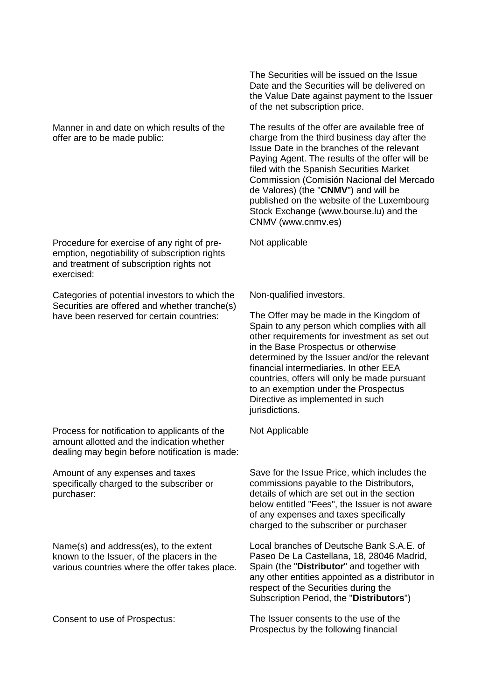Manner in and date on which results of the offer are to be made public:

Procedure for exercise of any right of preemption, negotiability of subscription rights and treatment of subscription rights not exercised:

Categories of potential investors to which the Securities are offered and whether tranche(s) have been reserved for certain countries:

Process for notification to applicants of the amount allotted and the indication whether dealing may begin before notification is made:

Amount of any expenses and taxes specifically charged to the subscriber or purchaser:

Name(s) and address(es), to the extent known to the Issuer, of the placers in the various countries where the offer takes place.

The Securities will be issued on the Issue Date and the Securities will be delivered on the Value Date against payment to the Issuer of the net subscription price.

The results of the offer are available free of charge from the third business day after the Issue Date in the branches of the relevant Paying Agent. The results of the offer will be filed with the Spanish Securities Market Commission (Comisión Nacional del Mercado de Valores) (the "**CNMV**") and will be published on the website of the Luxembourg Stock Exchange (www.bourse.lu) and the CNMV (www.cnmv.es)

Not applicable

Non-qualified investors.

The Offer may be made in the Kingdom of Spain to any person which complies with all other requirements for investment as set out in the Base Prospectus or otherwise determined by the Issuer and/or the relevant financial intermediaries. In other EEA countries, offers will only be made pursuant to an exemption under the Prospectus Directive as implemented in such jurisdictions.

Not Applicable

Save for the Issue Price, which includes the commissions payable to the Distributors, details of which are set out in the section below entitled "Fees", the Issuer is not aware of any expenses and taxes specifically charged to the subscriber or purchaser

Local branches of Deutsche Bank S.A.E. of Paseo De La Castellana, 18, 28046 Madrid, Spain (the "**Distributor**" and together with any other entities appointed as a distributor in respect of the Securities during the Subscription Period, the "**Distributors**")

Consent to use of Prospectus: The Issuer consents to the use of the Prospectus by the following financial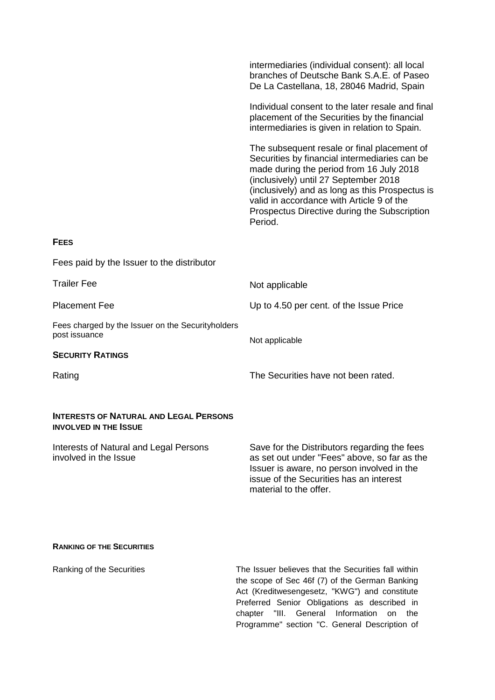|                                                                               | intermediaries (individual consent): all local<br>branches of Deutsche Bank S.A.E. of Paseo<br>De La Castellana, 18, 28046 Madrid, Spain                                                                                                                                                                                                     |
|-------------------------------------------------------------------------------|----------------------------------------------------------------------------------------------------------------------------------------------------------------------------------------------------------------------------------------------------------------------------------------------------------------------------------------------|
|                                                                               | Individual consent to the later resale and final<br>placement of the Securities by the financial<br>intermediaries is given in relation to Spain.                                                                                                                                                                                            |
|                                                                               | The subsequent resale or final placement of<br>Securities by financial intermediaries can be<br>made during the period from 16 July 2018<br>(inclusively) until 27 September 2018<br>(inclusively) and as long as this Prospectus is<br>valid in accordance with Article 9 of the<br>Prospectus Directive during the Subscription<br>Period. |
| <b>FEES</b>                                                                   |                                                                                                                                                                                                                                                                                                                                              |
| Fees paid by the Issuer to the distributor                                    |                                                                                                                                                                                                                                                                                                                                              |
| <b>Trailer Fee</b>                                                            | Not applicable                                                                                                                                                                                                                                                                                                                               |
| <b>Placement Fee</b>                                                          | Up to 4.50 per cent. of the Issue Price                                                                                                                                                                                                                                                                                                      |
| Fees charged by the Issuer on the Securityholders<br>post issuance            | Not applicable                                                                                                                                                                                                                                                                                                                               |
| <b>SECURITY RATINGS</b>                                                       |                                                                                                                                                                                                                                                                                                                                              |
| Rating                                                                        | The Securities have not been rated.                                                                                                                                                                                                                                                                                                          |
| <b>INTERESTS OF NATURAL AND LEGAL PERSONS</b><br><b>INVOLVED IN THE ISSUE</b> |                                                                                                                                                                                                                                                                                                                                              |
| Interests of Natural and Legal Persons<br>involved in the Issue               | Save for the Distributors regarding the fees<br>as set out under "Fees" above, so far as the<br>Issuer is aware, no person involved in the<br>issue of the Securities has an interest<br>material to the offer.                                                                                                                              |
| <b>RANKING OF THE SECURITIES</b>                                              |                                                                                                                                                                                                                                                                                                                                              |
| Ranking of the Securities                                                     | The Issuer believes that the Securities fall within<br>the scope of Sec 46f (7) of the German Banking                                                                                                                                                                                                                                        |

the scope of Sec 46f (7) of the German Banking Act (Kreditwesengesetz, "KWG") and constitute Preferred Senior Obligations as described in chapter "III. General Information on the Programme" section "C. General Description of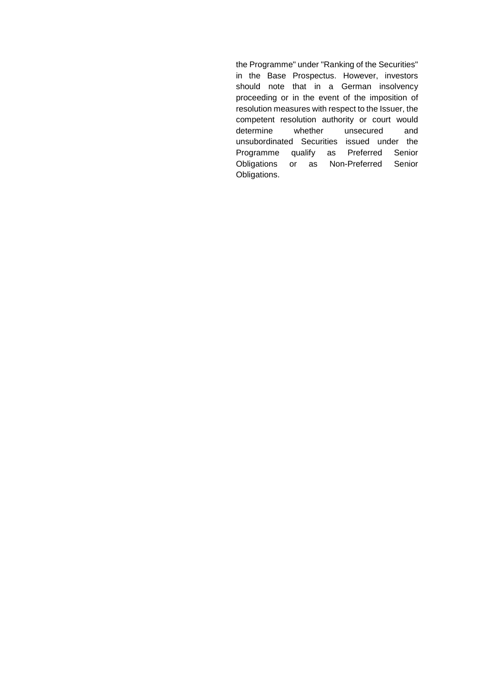the Programme" under "Ranking of the Securities" in the Base Prospectus. However, investors should note that in a German insolvency proceeding or in the event of the imposition of resolution measures with respect to the Issuer, the competent resolution authority or court would determine whether unsecured and unsubordinated Securities issued under the Programme qualify as Preferred Senior Obligations or as Non-Preferred Senior Obligations.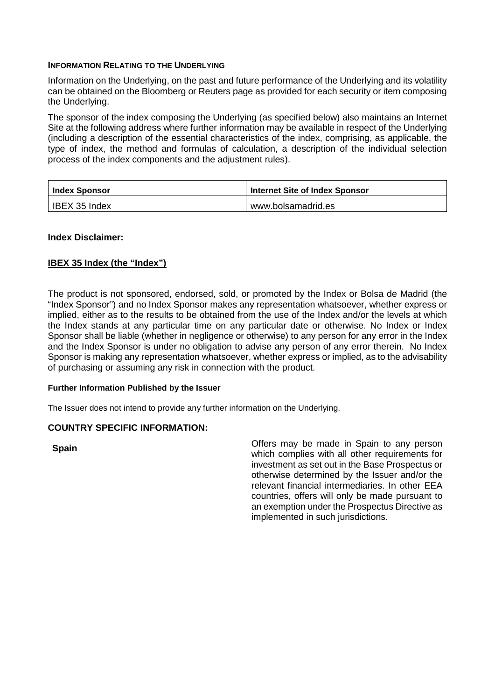### **INFORMATION RELATING TO THE UNDERLYING**

Information on the Underlying, on the past and future performance of the Underlying and its volatility can be obtained on the Bloomberg or Reuters page as provided for each security or item composing the Underlying.

The sponsor of the index composing the Underlying (as specified below) also maintains an Internet Site at the following address where further information may be available in respect of the Underlying (including a description of the essential characteristics of the index, comprising, as applicable, the type of index, the method and formulas of calculation, a description of the individual selection process of the index components and the adjustment rules).

| <b>Index Sponsor</b> | Internet Site of Index Sponsor |
|----------------------|--------------------------------|
| IBEX 35 Index        | www.bolsamadrid.es             |

## **Index Disclaimer:**

## **IBEX 35 Index (the "Index")**

The product is not sponsored, endorsed, sold, or promoted by the Index or Bolsa de Madrid (the "Index Sponsor") and no Index Sponsor makes any representation whatsoever, whether express or implied, either as to the results to be obtained from the use of the Index and/or the levels at which the Index stands at any particular time on any particular date or otherwise. No Index or Index Sponsor shall be liable (whether in negligence or otherwise) to any person for any error in the Index and the Index Sponsor is under no obligation to advise any person of any error therein. No Index Sponsor is making any representation whatsoever, whether express or implied, as to the advisability of purchasing or assuming any risk in connection with the product.

### **Further Information Published by the Issuer**

The Issuer does not intend to provide any further information on the Underlying.

### **COUNTRY SPECIFIC INFORMATION:**

**Spain Spain Spain Spain Spain Spain Spain Spain Spain Spain Spain Spain Spain Spain Spain Spain Spain Spain Spain Spain Spain Spain Spain Spain Spain Spain Spain Spain** which complies with all other requirements for investment as set out in the Base Prospectus or otherwise determined by the Issuer and/or the relevant financial intermediaries. In other EEA countries, offers will only be made pursuant to an exemption under the Prospectus Directive as implemented in such jurisdictions.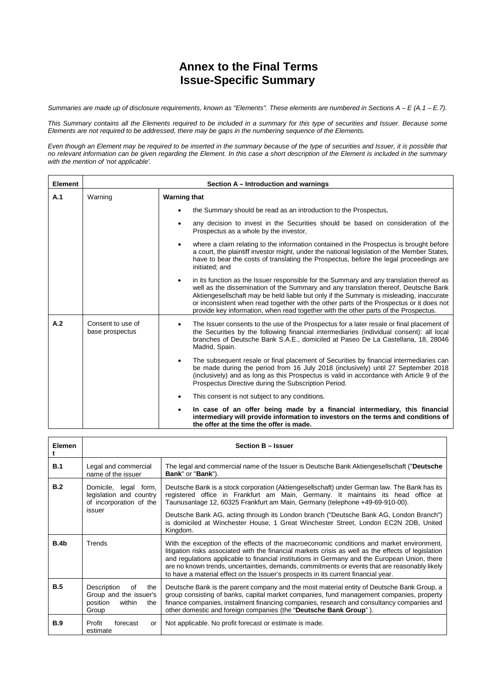# **Annex to the Final Terms Issue-Specific Summary**

*Summaries are made up of disclosure requirements, known as "Elements". These elements are numbered in Sections A – E (A.1 – E.7).*

*This Summary contains all the Elements required to be included in a summary for this type of securities and Issuer. Because some Elements are not required to be addressed, there may be gaps in the numbering sequence of the Elements.*

*Even though an Element may be required to be inserted in the summary because of the type of securities and Issuer, it is possible that no relevant information can be given regarding the Element. In this case a short description of the Element is included in the summary with the mention of 'not applicable'.*

| <b>Element</b> | Section A – Introduction and warnings |                                                                                                                                                                                                                                                                                                                                                                                                                                                                            |  |  |  |
|----------------|---------------------------------------|----------------------------------------------------------------------------------------------------------------------------------------------------------------------------------------------------------------------------------------------------------------------------------------------------------------------------------------------------------------------------------------------------------------------------------------------------------------------------|--|--|--|
| A.1            | Warning                               | <b>Warning that</b>                                                                                                                                                                                                                                                                                                                                                                                                                                                        |  |  |  |
|                |                                       | the Summary should be read as an introduction to the Prospectus,                                                                                                                                                                                                                                                                                                                                                                                                           |  |  |  |
|                |                                       | any decision to invest in the Securities should be based on consideration of the<br>٠<br>Prospectus as a whole by the investor,                                                                                                                                                                                                                                                                                                                                            |  |  |  |
|                |                                       | where a claim relating to the information contained in the Prospectus is brought before<br>$\bullet$<br>a court, the plaintiff investor might, under the national legislation of the Member States,<br>have to bear the costs of translating the Prospectus, before the legal proceedings are<br>initiated; and                                                                                                                                                            |  |  |  |
|                |                                       | in its function as the Issuer responsible for the Summary and any translation thereof as<br>$\bullet$<br>well as the dissemination of the Summary and any translation thereof, Deutsche Bank<br>Aktiengesellschaft may be held liable but only if the Summary is misleading, inaccurate<br>or inconsistent when read together with the other parts of the Prospectus or it does not<br>provide key information, when read together with the other parts of the Prospectus. |  |  |  |
| A.2            | Consent to use of<br>base prospectus  | The Issuer consents to the use of the Prospectus for a later resale or final placement of<br>the Securities by the following financial intermediaries (individual consent): all local<br>branches of Deutsche Bank S.A.E., domiciled at Paseo De La Castellana, 18, 28046<br>Madrid, Spain.                                                                                                                                                                                |  |  |  |
|                |                                       | The subsequent resale or final placement of Securities by financial intermediaries can<br>$\bullet$<br>be made during the period from 16 July 2018 (inclusively) until 27 September 2018<br>(inclusively) and as long as this Prospectus is valid in accordance with Article 9 of the<br>Prospectus Directive during the Subscription Period.                                                                                                                              |  |  |  |
|                |                                       | This consent is not subject to any conditions.<br>٠                                                                                                                                                                                                                                                                                                                                                                                                                        |  |  |  |
|                |                                       | In case of an offer being made by a financial intermediary, this financial<br>٠<br>intermediary will provide information to investors on the terms and conditions of<br>the offer at the time the offer is made.                                                                                                                                                                                                                                                           |  |  |  |

| Elemen     | <b>Section B - Issuer</b>                                                                |                                                                                                                                                                                                                                                                                                                                                                                                                                                                                          |  |  |  |
|------------|------------------------------------------------------------------------------------------|------------------------------------------------------------------------------------------------------------------------------------------------------------------------------------------------------------------------------------------------------------------------------------------------------------------------------------------------------------------------------------------------------------------------------------------------------------------------------------------|--|--|--|
| B.1        | Legal and commercial<br>name of the issuer                                               | The legal and commercial name of the Issuer is Deutsche Bank Aktiengesellschaft ("Deutsche<br>Bank" or "Bank").                                                                                                                                                                                                                                                                                                                                                                          |  |  |  |
| B.2        | Domicile,<br>legal form,<br>legislation and country<br>of incorporation of the<br>issuer | Deutsche Bank is a stock corporation (Aktiengesellschaft) under German law. The Bank has its<br>registered office in Frankfurt am Main, Germany. It maintains its head office at<br>Taunusanlage 12, 60325 Frankfurt am Main, Germany (telephone +49-69-910-00).                                                                                                                                                                                                                         |  |  |  |
|            |                                                                                          | Deutsche Bank AG, acting through its London branch ("Deutsche Bank AG, London Branch")<br>is domiciled at Winchester House, 1 Great Winchester Street, London EC2N 2DB, United<br>Kingdom.                                                                                                                                                                                                                                                                                               |  |  |  |
| B.4b       | Trends                                                                                   | With the exception of the effects of the macroeconomic conditions and market environment,<br>litigation risks associated with the financial markets crisis as well as the effects of legislation<br>and regulations applicable to financial institutions in Germany and the European Union, there<br>are no known trends, uncertainties, demands, commitments or events that are reasonably likely<br>to have a material effect on the Issuer's prospects in its current financial year. |  |  |  |
| B.5        | Description<br>οf<br>the<br>Group and the issuer's<br>position<br>within<br>the<br>Group | Deutsche Bank is the parent company and the most material entity of Deutsche Bank Group, a<br>group consisting of banks, capital market companies, fund management companies, property<br>finance companies, instalment financing companies, research and consultancy companies and<br>other domestic and foreign companies (the "Deutsche Bank Group").                                                                                                                                 |  |  |  |
| <b>B.9</b> | Profit<br>forecast<br>or<br>estimate                                                     | Not applicable. No profit forecast or estimate is made.                                                                                                                                                                                                                                                                                                                                                                                                                                  |  |  |  |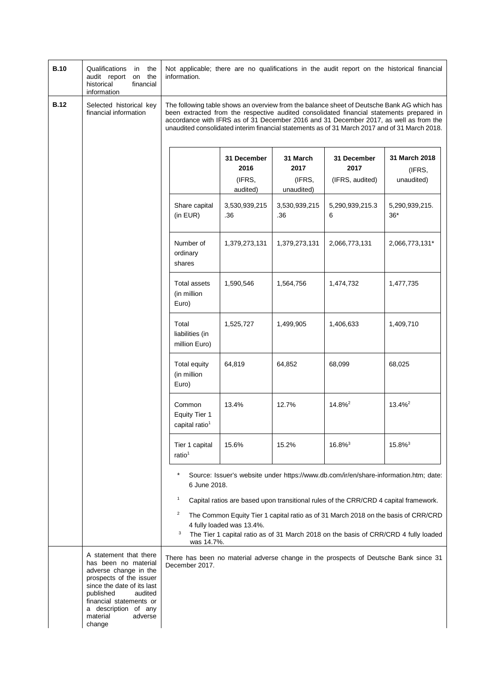| <b>B.10</b> | Qualifications<br>in the<br>audit report<br>on the<br>financial<br>historical<br>information                                                                                                                                                 | Not applicable; there are no qualifications in the audit report on the historical financial<br>information.                                                                                                                                                                                                                                                                      |                                           |                                          |                                                                                      |                                                                                                                                                                                                                                                                   |
|-------------|----------------------------------------------------------------------------------------------------------------------------------------------------------------------------------------------------------------------------------------------|----------------------------------------------------------------------------------------------------------------------------------------------------------------------------------------------------------------------------------------------------------------------------------------------------------------------------------------------------------------------------------|-------------------------------------------|------------------------------------------|--------------------------------------------------------------------------------------|-------------------------------------------------------------------------------------------------------------------------------------------------------------------------------------------------------------------------------------------------------------------|
| <b>B.12</b> | Selected historical key<br>financial information                                                                                                                                                                                             | The following table shows an overview from the balance sheet of Deutsche Bank AG which has<br>been extracted from the respective audited consolidated financial statements prepared in<br>accordance with IFRS as of 31 December 2016 and 31 December 2017, as well as from the<br>unaudited consolidated interim financial statements as of 31 March 2017 and of 31 March 2018. |                                           |                                          |                                                                                      |                                                                                                                                                                                                                                                                   |
|             |                                                                                                                                                                                                                                              |                                                                                                                                                                                                                                                                                                                                                                                  | 31 December<br>2016<br>(IFRS,<br>audited) | 31 March<br>2017<br>(IFRS,<br>unaudited) | 31 December<br>2017<br>(IFRS, audited)                                               | 31 March 2018<br>(IFRS,<br>unaudited)                                                                                                                                                                                                                             |
|             |                                                                                                                                                                                                                                              | Share capital<br>(in EUR)                                                                                                                                                                                                                                                                                                                                                        | 3,530,939,215<br>.36                      | 3,530,939,215<br>.36                     | 5,290,939,215.3<br>6                                                                 | 5,290,939,215.<br>$36*$                                                                                                                                                                                                                                           |
|             |                                                                                                                                                                                                                                              | Number of<br>ordinary<br>shares                                                                                                                                                                                                                                                                                                                                                  | 1,379,273,131                             | 1,379,273,131                            | 2,066,773,131                                                                        | 2,066,773,131*                                                                                                                                                                                                                                                    |
|             |                                                                                                                                                                                                                                              | Total assets<br>(in million<br>Euro)                                                                                                                                                                                                                                                                                                                                             | 1,590,546                                 | 1,564,756                                | 1,474,732                                                                            | 1,477,735                                                                                                                                                                                                                                                         |
|             |                                                                                                                                                                                                                                              | Total<br>liabilities (in<br>million Euro)                                                                                                                                                                                                                                                                                                                                        | 1,525,727                                 | 1,499,905                                | 1,406,633                                                                            | 1,409,710                                                                                                                                                                                                                                                         |
|             |                                                                                                                                                                                                                                              | Total equity<br>(in million<br>Euro)                                                                                                                                                                                                                                                                                                                                             | 64,819                                    | 64,852                                   | 68,099                                                                               | 68,025                                                                                                                                                                                                                                                            |
|             |                                                                                                                                                                                                                                              | Common<br>Equity Tier 1<br>capital ratio <sup>1</sup>                                                                                                                                                                                                                                                                                                                            | 13.4%                                     | 12.7%                                    | 14.8% <sup>2</sup>                                                                   | 13.4% <sup>2</sup>                                                                                                                                                                                                                                                |
|             |                                                                                                                                                                                                                                              | Tier 1 capital<br>ratio <sup>1</sup>                                                                                                                                                                                                                                                                                                                                             | 15.6%                                     | 15.2%                                    | $16.8\%$ <sup>3</sup>                                                                | $15.8\%$ <sup>3</sup>                                                                                                                                                                                                                                             |
|             |                                                                                                                                                                                                                                              | 6 June 2018.<br>$\mathbf{1}$<br>$\overline{c}$<br>3<br>was 14.7%.                                                                                                                                                                                                                                                                                                                | 4 fully loaded was 13.4%.                 |                                          | Capital ratios are based upon transitional rules of the CRR/CRD 4 capital framework. | Source: Issuer's website under https://www.db.com/ir/en/share-information.htm; date:<br>The Common Equity Tier 1 capital ratio as of 31 March 2018 on the basis of CRR/CRD<br>The Tier 1 capital ratio as of 31 March 2018 on the basis of CRR/CRD 4 fully loaded |
|             | A statement that there<br>has been no material<br>adverse change in the<br>prospects of the issuer<br>since the date of its last<br>published<br>audited<br>financial statements or<br>a description of any<br>material<br>adverse<br>change | December 2017.                                                                                                                                                                                                                                                                                                                                                                   |                                           |                                          |                                                                                      | There has been no material adverse change in the prospects of Deutsche Bank since 31                                                                                                                                                                              |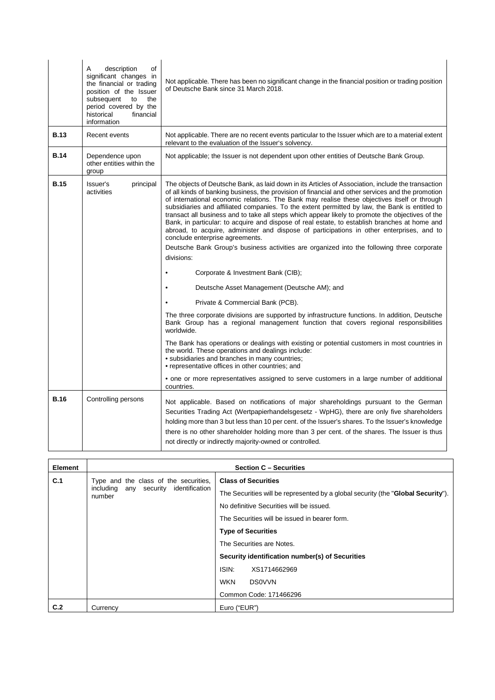|             | of<br>A<br>description<br>significant changes in<br>the financial or trading<br>position of the Issuer<br>subsequent<br>to<br>the<br>period covered by the<br>historical<br>financial<br>information | Not applicable. There has been no significant change in the financial position or trading position<br>of Deutsche Bank since 31 March 2018.                                                                                                                                                                                                                                                                                                                                                                                                                                                                                                                                                                                                    |
|-------------|------------------------------------------------------------------------------------------------------------------------------------------------------------------------------------------------------|------------------------------------------------------------------------------------------------------------------------------------------------------------------------------------------------------------------------------------------------------------------------------------------------------------------------------------------------------------------------------------------------------------------------------------------------------------------------------------------------------------------------------------------------------------------------------------------------------------------------------------------------------------------------------------------------------------------------------------------------|
| <b>B.13</b> | Recent events                                                                                                                                                                                        | Not applicable. There are no recent events particular to the Issuer which are to a material extent<br>relevant to the evaluation of the Issuer's solvency.                                                                                                                                                                                                                                                                                                                                                                                                                                                                                                                                                                                     |
| <b>B.14</b> | Dependence upon<br>other entities within the<br>group                                                                                                                                                | Not applicable; the Issuer is not dependent upon other entities of Deutsche Bank Group.                                                                                                                                                                                                                                                                                                                                                                                                                                                                                                                                                                                                                                                        |
| <b>B.15</b> | Issuer's<br>principal<br>activities                                                                                                                                                                  | The objects of Deutsche Bank, as laid down in its Articles of Association, include the transaction<br>of all kinds of banking business, the provision of financial and other services and the promotion<br>of international economic relations. The Bank may realise these objectives itself or through<br>subsidiaries and affiliated companies. To the extent permitted by law, the Bank is entitled to<br>transact all business and to take all steps which appear likely to promote the objectives of the<br>Bank, in particular: to acquire and dispose of real estate, to establish branches at home and<br>abroad, to acquire, administer and dispose of participations in other enterprises, and to<br>conclude enterprise agreements. |
|             |                                                                                                                                                                                                      | Deutsche Bank Group's business activities are organized into the following three corporate<br>divisions:                                                                                                                                                                                                                                                                                                                                                                                                                                                                                                                                                                                                                                       |
|             |                                                                                                                                                                                                      | Corporate & Investment Bank (CIB);<br>$\bullet$                                                                                                                                                                                                                                                                                                                                                                                                                                                                                                                                                                                                                                                                                                |
|             |                                                                                                                                                                                                      | Deutsche Asset Management (Deutsche AM); and<br>$\bullet$                                                                                                                                                                                                                                                                                                                                                                                                                                                                                                                                                                                                                                                                                      |
|             |                                                                                                                                                                                                      | Private & Commercial Bank (PCB).<br>$\bullet$                                                                                                                                                                                                                                                                                                                                                                                                                                                                                                                                                                                                                                                                                                  |
|             |                                                                                                                                                                                                      | The three corporate divisions are supported by infrastructure functions. In addition, Deutsche<br>Bank Group has a regional management function that covers regional responsibilities<br>worldwide.                                                                                                                                                                                                                                                                                                                                                                                                                                                                                                                                            |
|             |                                                                                                                                                                                                      | The Bank has operations or dealings with existing or potential customers in most countries in<br>the world. These operations and dealings include:<br>• subsidiaries and branches in many countries;<br>• representative offices in other countries; and                                                                                                                                                                                                                                                                                                                                                                                                                                                                                       |
|             |                                                                                                                                                                                                      | • one or more representatives assigned to serve customers in a large number of additional<br>countries.                                                                                                                                                                                                                                                                                                                                                                                                                                                                                                                                                                                                                                        |
| <b>B.16</b> | Controlling persons                                                                                                                                                                                  | Not applicable. Based on notifications of major shareholdings pursuant to the German<br>Securities Trading Act (Wertpapierhandelsgesetz - WpHG), there are only five shareholders<br>holding more than 3 but less than 10 per cent. of the Issuer's shares. To the Issuer's knowledge<br>there is no other shareholder holding more than 3 per cent. of the shares. The Issuer is thus<br>not directly or indirectly majority-owned or controlled.                                                                                                                                                                                                                                                                                             |

| Element | <b>Section C - Securities</b>                   |                                                                                           |  |  |  |
|---------|-------------------------------------------------|-------------------------------------------------------------------------------------------|--|--|--|
| C.1     | Type and the class of the securities,           | <b>Class of Securities</b>                                                                |  |  |  |
|         | including any security identification<br>number | The Securities will be represented by a global security (the " <b>Global Security</b> "). |  |  |  |
|         |                                                 | No definitive Securities will be issued.                                                  |  |  |  |
|         |                                                 | The Securities will be issued in bearer form.                                             |  |  |  |
|         |                                                 | <b>Type of Securities</b>                                                                 |  |  |  |
|         |                                                 | The Securities are Notes.                                                                 |  |  |  |
|         |                                                 | Security identification number(s) of Securities                                           |  |  |  |
|         |                                                 | ISIN.<br>XS1714662969                                                                     |  |  |  |
|         |                                                 | <b>WKN</b><br><b>DS0VVN</b>                                                               |  |  |  |
|         |                                                 | Common Code: 171466296                                                                    |  |  |  |
| C.2     | Currency                                        | Euro ("EUR")                                                                              |  |  |  |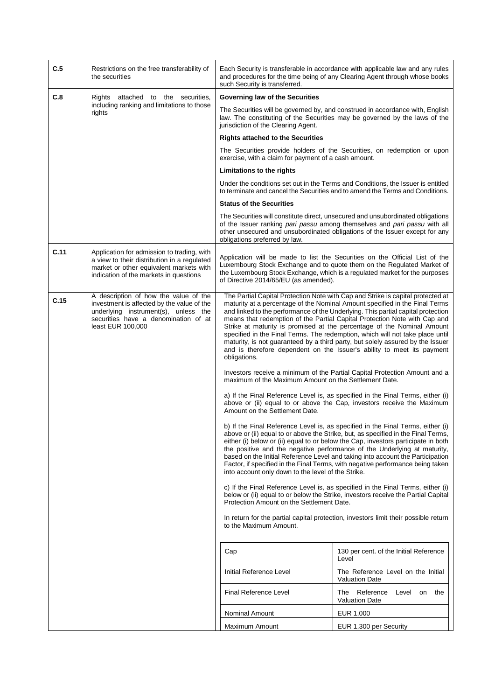| C.5                                                  | Restrictions on the free transferability of<br>the securities                                                                                                                            | Each Security is transferable in accordance with applicable law and any rules<br>and procedures for the time being of any Clearing Agent through whose books<br>such Security is transferred.                                                                                                                                                                                                                                                                                                                                                                                                                                                                                                                                                                                                                                                                                                                                                                                                                                                                                                                                                                                                                                                                                                                                                                                                                                                                                                                                                                                                                                                                                                                                                                                                                                                                                                                         |                                                                                                                                                                                                                                             |
|------------------------------------------------------|------------------------------------------------------------------------------------------------------------------------------------------------------------------------------------------|-----------------------------------------------------------------------------------------------------------------------------------------------------------------------------------------------------------------------------------------------------------------------------------------------------------------------------------------------------------------------------------------------------------------------------------------------------------------------------------------------------------------------------------------------------------------------------------------------------------------------------------------------------------------------------------------------------------------------------------------------------------------------------------------------------------------------------------------------------------------------------------------------------------------------------------------------------------------------------------------------------------------------------------------------------------------------------------------------------------------------------------------------------------------------------------------------------------------------------------------------------------------------------------------------------------------------------------------------------------------------------------------------------------------------------------------------------------------------------------------------------------------------------------------------------------------------------------------------------------------------------------------------------------------------------------------------------------------------------------------------------------------------------------------------------------------------------------------------------------------------------------------------------------------------|---------------------------------------------------------------------------------------------------------------------------------------------------------------------------------------------------------------------------------------------|
| C.8                                                  | Rights attached to the securities,                                                                                                                                                       | Governing law of the Securities                                                                                                                                                                                                                                                                                                                                                                                                                                                                                                                                                                                                                                                                                                                                                                                                                                                                                                                                                                                                                                                                                                                                                                                                                                                                                                                                                                                                                                                                                                                                                                                                                                                                                                                                                                                                                                                                                       |                                                                                                                                                                                                                                             |
| including ranking and limitations to those<br>rights |                                                                                                                                                                                          | The Securities will be governed by, and construed in accordance with, English<br>law. The constituting of the Securities may be governed by the laws of the<br>jurisdiction of the Clearing Agent.                                                                                                                                                                                                                                                                                                                                                                                                                                                                                                                                                                                                                                                                                                                                                                                                                                                                                                                                                                                                                                                                                                                                                                                                                                                                                                                                                                                                                                                                                                                                                                                                                                                                                                                    |                                                                                                                                                                                                                                             |
|                                                      |                                                                                                                                                                                          | <b>Rights attached to the Securities</b><br>The Securities provide holders of the Securities, on redemption or upon<br>exercise, with a claim for payment of a cash amount.                                                                                                                                                                                                                                                                                                                                                                                                                                                                                                                                                                                                                                                                                                                                                                                                                                                                                                                                                                                                                                                                                                                                                                                                                                                                                                                                                                                                                                                                                                                                                                                                                                                                                                                                           |                                                                                                                                                                                                                                             |
|                                                      |                                                                                                                                                                                          |                                                                                                                                                                                                                                                                                                                                                                                                                                                                                                                                                                                                                                                                                                                                                                                                                                                                                                                                                                                                                                                                                                                                                                                                                                                                                                                                                                                                                                                                                                                                                                                                                                                                                                                                                                                                                                                                                                                       |                                                                                                                                                                                                                                             |
|                                                      |                                                                                                                                                                                          | Limitations to the rights                                                                                                                                                                                                                                                                                                                                                                                                                                                                                                                                                                                                                                                                                                                                                                                                                                                                                                                                                                                                                                                                                                                                                                                                                                                                                                                                                                                                                                                                                                                                                                                                                                                                                                                                                                                                                                                                                             |                                                                                                                                                                                                                                             |
|                                                      |                                                                                                                                                                                          |                                                                                                                                                                                                                                                                                                                                                                                                                                                                                                                                                                                                                                                                                                                                                                                                                                                                                                                                                                                                                                                                                                                                                                                                                                                                                                                                                                                                                                                                                                                                                                                                                                                                                                                                                                                                                                                                                                                       | Under the conditions set out in the Terms and Conditions, the Issuer is entitled<br>to terminate and cancel the Securities and to amend the Terms and Conditions.                                                                           |
|                                                      |                                                                                                                                                                                          | <b>Status of the Securities</b>                                                                                                                                                                                                                                                                                                                                                                                                                                                                                                                                                                                                                                                                                                                                                                                                                                                                                                                                                                                                                                                                                                                                                                                                                                                                                                                                                                                                                                                                                                                                                                                                                                                                                                                                                                                                                                                                                       |                                                                                                                                                                                                                                             |
|                                                      |                                                                                                                                                                                          | obligations preferred by law.                                                                                                                                                                                                                                                                                                                                                                                                                                                                                                                                                                                                                                                                                                                                                                                                                                                                                                                                                                                                                                                                                                                                                                                                                                                                                                                                                                                                                                                                                                                                                                                                                                                                                                                                                                                                                                                                                         | The Securities will constitute direct, unsecured and unsubordinated obligations<br>of the Issuer ranking pari passu among themselves and pari passu with all<br>other unsecured and unsubordinated obligations of the Issuer except for any |
| C.11                                                 | Application for admission to trading, with<br>a view to their distribution in a regulated<br>market or other equivalent markets with<br>indication of the markets in questions           | Application will be made to list the Securities on the Official List of the<br>Luxembourg Stock Exchange and to quote them on the Regulated Market of<br>the Luxembourg Stock Exchange, which is a regulated market for the purposes<br>of Directive 2014/65/EU (as amended).                                                                                                                                                                                                                                                                                                                                                                                                                                                                                                                                                                                                                                                                                                                                                                                                                                                                                                                                                                                                                                                                                                                                                                                                                                                                                                                                                                                                                                                                                                                                                                                                                                         |                                                                                                                                                                                                                                             |
| C.15                                                 | A description of how the value of the<br>investment is affected by the value of the<br>underlying instrument(s), unless the<br>securities have a denomination of at<br>least EUR 100,000 | The Partial Capital Protection Note with Cap and Strike is capital protected at<br>maturity at a percentage of the Nominal Amount specified in the Final Terms<br>and linked to the performance of the Underlying. This partial capital protection<br>means that redemption of the Partial Capital Protection Note with Cap and<br>Strike at maturity is promised at the percentage of the Nominal Amount<br>specified in the Final Terms. The redemption, which will not take place until<br>maturity, is not guaranteed by a third party, but solely assured by the Issuer<br>and is therefore dependent on the Issuer's ability to meet its payment<br>obligations.<br>Investors receive a minimum of the Partial Capital Protection Amount and a<br>maximum of the Maximum Amount on the Settlement Date.<br>a) If the Final Reference Level is, as specified in the Final Terms, either (i)<br>above or (ii) equal to or above the Cap, investors receive the Maximum<br>Amount on the Settlement Date.<br>b) If the Final Reference Level is, as specified in the Final Terms, either (i)<br>above or (ii) equal to or above the Strike, but, as specified in the Final Terms,<br>either (i) below or (ii) equal to or below the Cap, investors participate in both<br>the positive and the negative performance of the Underlying at maturity,<br>based on the Initial Reference Level and taking into account the Participation<br>Factor, if specified in the Final Terms, with negative performance being taken<br>into account only down to the level of the Strike.<br>c) If the Final Reference Level is, as specified in the Final Terms, either (i)<br>below or (ii) equal to or below the Strike, investors receive the Partial Capital<br>Protection Amount on the Settlement Date.<br>In return for the partial capital protection, investors limit their possible return<br>to the Maximum Amount. |                                                                                                                                                                                                                                             |
|                                                      |                                                                                                                                                                                          |                                                                                                                                                                                                                                                                                                                                                                                                                                                                                                                                                                                                                                                                                                                                                                                                                                                                                                                                                                                                                                                                                                                                                                                                                                                                                                                                                                                                                                                                                                                                                                                                                                                                                                                                                                                                                                                                                                                       |                                                                                                                                                                                                                                             |
|                                                      |                                                                                                                                                                                          |                                                                                                                                                                                                                                                                                                                                                                                                                                                                                                                                                                                                                                                                                                                                                                                                                                                                                                                                                                                                                                                                                                                                                                                                                                                                                                                                                                                                                                                                                                                                                                                                                                                                                                                                                                                                                                                                                                                       |                                                                                                                                                                                                                                             |
|                                                      |                                                                                                                                                                                          |                                                                                                                                                                                                                                                                                                                                                                                                                                                                                                                                                                                                                                                                                                                                                                                                                                                                                                                                                                                                                                                                                                                                                                                                                                                                                                                                                                                                                                                                                                                                                                                                                                                                                                                                                                                                                                                                                                                       |                                                                                                                                                                                                                                             |
|                                                      |                                                                                                                                                                                          |                                                                                                                                                                                                                                                                                                                                                                                                                                                                                                                                                                                                                                                                                                                                                                                                                                                                                                                                                                                                                                                                                                                                                                                                                                                                                                                                                                                                                                                                                                                                                                                                                                                                                                                                                                                                                                                                                                                       |                                                                                                                                                                                                                                             |
|                                                      |                                                                                                                                                                                          |                                                                                                                                                                                                                                                                                                                                                                                                                                                                                                                                                                                                                                                                                                                                                                                                                                                                                                                                                                                                                                                                                                                                                                                                                                                                                                                                                                                                                                                                                                                                                                                                                                                                                                                                                                                                                                                                                                                       |                                                                                                                                                                                                                                             |
|                                                      |                                                                                                                                                                                          | Cap                                                                                                                                                                                                                                                                                                                                                                                                                                                                                                                                                                                                                                                                                                                                                                                                                                                                                                                                                                                                                                                                                                                                                                                                                                                                                                                                                                                                                                                                                                                                                                                                                                                                                                                                                                                                                                                                                                                   | 130 per cent. of the Initial Reference<br>Level                                                                                                                                                                                             |
|                                                      |                                                                                                                                                                                          | Initial Reference Level                                                                                                                                                                                                                                                                                                                                                                                                                                                                                                                                                                                                                                                                                                                                                                                                                                                                                                                                                                                                                                                                                                                                                                                                                                                                                                                                                                                                                                                                                                                                                                                                                                                                                                                                                                                                                                                                                               | The Reference Level on the Initial<br><b>Valuation Date</b>                                                                                                                                                                                 |
|                                                      |                                                                                                                                                                                          | Final Reference Level                                                                                                                                                                                                                                                                                                                                                                                                                                                                                                                                                                                                                                                                                                                                                                                                                                                                                                                                                                                                                                                                                                                                                                                                                                                                                                                                                                                                                                                                                                                                                                                                                                                                                                                                                                                                                                                                                                 | The Reference Level on the<br><b>Valuation Date</b>                                                                                                                                                                                         |
|                                                      |                                                                                                                                                                                          | Nominal Amount                                                                                                                                                                                                                                                                                                                                                                                                                                                                                                                                                                                                                                                                                                                                                                                                                                                                                                                                                                                                                                                                                                                                                                                                                                                                                                                                                                                                                                                                                                                                                                                                                                                                                                                                                                                                                                                                                                        | EUR 1,000                                                                                                                                                                                                                                   |
|                                                      |                                                                                                                                                                                          | Maximum Amount                                                                                                                                                                                                                                                                                                                                                                                                                                                                                                                                                                                                                                                                                                                                                                                                                                                                                                                                                                                                                                                                                                                                                                                                                                                                                                                                                                                                                                                                                                                                                                                                                                                                                                                                                                                                                                                                                                        | EUR 1,300 per Security                                                                                                                                                                                                                      |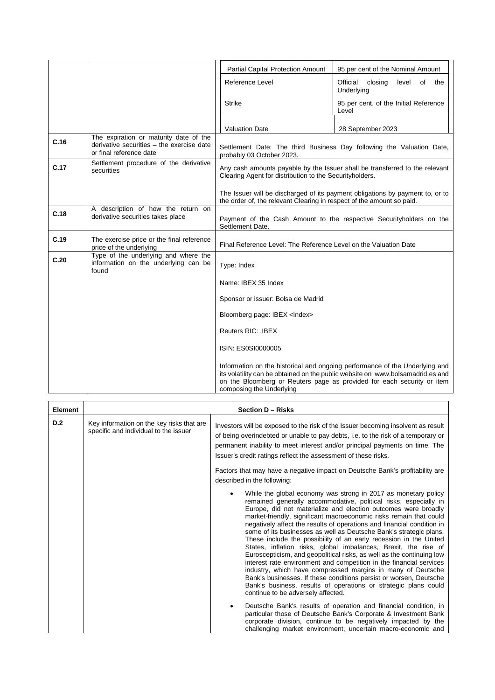|      |                                                                                                                | <b>Partial Capital Protection Amount</b>                                                                                               | 95 per cent of the Nominal Amount                                                                                                                                                                                                       |
|------|----------------------------------------------------------------------------------------------------------------|----------------------------------------------------------------------------------------------------------------------------------------|-----------------------------------------------------------------------------------------------------------------------------------------------------------------------------------------------------------------------------------------|
|      |                                                                                                                | Reference Level                                                                                                                        | Official<br>closing<br>level of<br>the<br>Underlying                                                                                                                                                                                    |
|      |                                                                                                                | <b>Strike</b>                                                                                                                          | 95 per cent. of the Initial Reference<br>Level                                                                                                                                                                                          |
|      |                                                                                                                | <b>Valuation Date</b>                                                                                                                  | 28 September 2023                                                                                                                                                                                                                       |
| C.16 | The expiration or maturity date of the<br>derivative securities - the exercise date<br>or final reference date | probably 03 October 2023.                                                                                                              | Settlement Date: The third Business Day following the Valuation Date,                                                                                                                                                                   |
| C.17 | Settlement procedure of the derivative<br>securities                                                           | Any cash amounts payable by the Issuer shall be transferred to the relevant<br>Clearing Agent for distribution to the Securityholders. |                                                                                                                                                                                                                                         |
|      |                                                                                                                | the order of, the relevant Clearing in respect of the amount so paid.                                                                  | The Issuer will be discharged of its payment obligations by payment to, or to                                                                                                                                                           |
| C.18 | A description of how the return on<br>derivative securities takes place                                        | Payment of the Cash Amount to the respective Securityholders on the<br>Settlement Date.                                                |                                                                                                                                                                                                                                         |
| C.19 | The exercise price or the final reference<br>price of the underlying                                           | Final Reference Level: The Reference Level on the Valuation Date                                                                       |                                                                                                                                                                                                                                         |
| C.20 | Type of the underlying and where the<br>information on the underlying can be<br>found                          | Type: Index                                                                                                                            |                                                                                                                                                                                                                                         |
|      |                                                                                                                | Name: IBEX 35 Index                                                                                                                    |                                                                                                                                                                                                                                         |
|      |                                                                                                                | Sponsor or issuer: Bolsa de Madrid                                                                                                     |                                                                                                                                                                                                                                         |
|      |                                                                                                                | Bloomberg page: IBEX <index></index>                                                                                                   |                                                                                                                                                                                                                                         |
|      |                                                                                                                | <b>Reuters RIC: .IBEX</b>                                                                                                              |                                                                                                                                                                                                                                         |
|      |                                                                                                                | ISIN: ES0SI0000005                                                                                                                     |                                                                                                                                                                                                                                         |
|      |                                                                                                                | composing the Underlying                                                                                                               | Information on the historical and ongoing performance of the Underlying and<br>its volatility can be obtained on the public website on www.bolsamadrid.es and<br>on the Bloomberg or Reuters page as provided for each security or item |

| Element | Section D - Risks                                                                  |                                                                                                                                                                                                                                                                                                                                                                                                                                                                                                                                                                                                                                                                                                                                                                                                                                                                                                                                                                                                                                      |  |
|---------|------------------------------------------------------------------------------------|--------------------------------------------------------------------------------------------------------------------------------------------------------------------------------------------------------------------------------------------------------------------------------------------------------------------------------------------------------------------------------------------------------------------------------------------------------------------------------------------------------------------------------------------------------------------------------------------------------------------------------------------------------------------------------------------------------------------------------------------------------------------------------------------------------------------------------------------------------------------------------------------------------------------------------------------------------------------------------------------------------------------------------------|--|
| D.2     | Key information on the key risks that are<br>specific and individual to the issuer | Investors will be exposed to the risk of the Issuer becoming insolvent as result<br>of being overindebted or unable to pay debts, i.e. to the risk of a temporary or<br>permanent inability to meet interest and/or principal payments on time. The<br>Issuer's credit ratings reflect the assessment of these risks.<br>Factors that may have a negative impact on Deutsche Bank's profitability are                                                                                                                                                                                                                                                                                                                                                                                                                                                                                                                                                                                                                                |  |
|         |                                                                                    | described in the following:                                                                                                                                                                                                                                                                                                                                                                                                                                                                                                                                                                                                                                                                                                                                                                                                                                                                                                                                                                                                          |  |
|         |                                                                                    | While the global economy was strong in 2017 as monetary policy<br>remained generally accommodative, political risks, especially in<br>Europe, did not materialize and election outcomes were broadly<br>market-friendly, significant macroeconomic risks remain that could<br>negatively affect the results of operations and financial condition in<br>some of its businesses as well as Deutsche Bank's strategic plans.<br>These include the possibility of an early recession in the United<br>States, inflation risks, global imbalances, Brexit, the rise of<br>Euroscepticism, and geopolitical risks, as well as the continuing low<br>interest rate environment and competition in the financial services<br>industry, which have compressed margins in many of Deutsche<br>Bank's businesses. If these conditions persist or worsen, Deutsche<br>Bank's business, results of operations or strategic plans could<br>continue to be adversely affected.<br>Deutsche Bank's results of operation and financial condition, in |  |
|         |                                                                                    | particular those of Deutsche Bank's Corporate & Investment Bank<br>corporate division, continue to be negatively impacted by the<br>challenging market environment, uncertain macro-economic and                                                                                                                                                                                                                                                                                                                                                                                                                                                                                                                                                                                                                                                                                                                                                                                                                                     |  |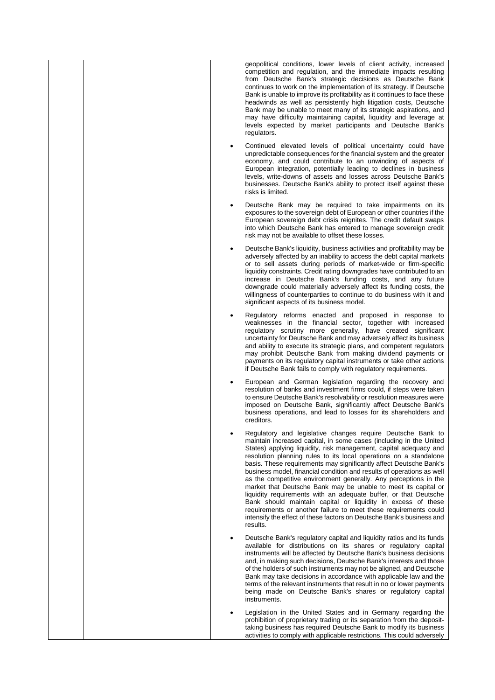|  | geopolitical conditions, lower levels of client activity, increased<br>competition and regulation, and the immediate impacts resulting<br>from Deutsche Bank's strategic decisions as Deutsche Bank<br>continues to work on the implementation of its strategy. If Deutsche<br>Bank is unable to improve its profitability as it continues to face these<br>headwinds as well as persistently high litigation costs, Deutsche<br>Bank may be unable to meet many of its strategic aspirations, and<br>may have difficulty maintaining capital, liquidity and leverage at<br>levels expected by market participants and Deutsche Bank's<br>regulators.                                                                                                                                                                                                         |
|--|---------------------------------------------------------------------------------------------------------------------------------------------------------------------------------------------------------------------------------------------------------------------------------------------------------------------------------------------------------------------------------------------------------------------------------------------------------------------------------------------------------------------------------------------------------------------------------------------------------------------------------------------------------------------------------------------------------------------------------------------------------------------------------------------------------------------------------------------------------------|
|  | Continued elevated levels of political uncertainty could have<br>unpredictable consequences for the financial system and the greater<br>economy, and could contribute to an unwinding of aspects of<br>European integration, potentially leading to declines in business<br>levels, write-downs of assets and losses across Deutsche Bank's<br>businesses. Deutsche Bank's ability to protect itself against these<br>risks is limited.                                                                                                                                                                                                                                                                                                                                                                                                                       |
|  | Deutsche Bank may be required to take impairments on its<br>exposures to the sovereign debt of European or other countries if the<br>European sovereign debt crisis reignites. The credit default swaps<br>into which Deutsche Bank has entered to manage sovereign credit<br>risk may not be available to offset these losses.                                                                                                                                                                                                                                                                                                                                                                                                                                                                                                                               |
|  | Deutsche Bank's liquidity, business activities and profitability may be<br>adversely affected by an inability to access the debt capital markets<br>or to sell assets during periods of market-wide or firm-specific<br>liquidity constraints. Credit rating downgrades have contributed to an<br>increase in Deutsche Bank's funding costs, and any future<br>downgrade could materially adversely affect its funding costs, the<br>willingness of counterparties to continue to do business with it and<br>significant aspects of its business model.                                                                                                                                                                                                                                                                                                       |
|  | Regulatory reforms enacted and proposed in response to<br>weaknesses in the financial sector, together with increased<br>regulatory scrutiny more generally, have created significant<br>uncertainty for Deutsche Bank and may adversely affect its business<br>and ability to execute its strategic plans, and competent regulators<br>may prohibit Deutsche Bank from making dividend payments or<br>payments on its regulatory capital instruments or take other actions<br>if Deutsche Bank fails to comply with regulatory requirements.                                                                                                                                                                                                                                                                                                                 |
|  | European and German legislation regarding the recovery and<br>resolution of banks and investment firms could, if steps were taken<br>to ensure Deutsche Bank's resolvability or resolution measures were<br>imposed on Deutsche Bank, significantly affect Deutsche Bank's<br>business operations, and lead to losses for its shareholders and<br>creditors.                                                                                                                                                                                                                                                                                                                                                                                                                                                                                                  |
|  | Regulatory and legislative changes require Deutsche Bank to<br>maintain increased capital, in some cases (including in the United<br>States) applying liquidity, risk management, capital adequacy and<br>resolution planning rules to its local operations on a standalone<br>basis. These requirements may significantly affect Deutsche Bank's<br>business model, financial condition and results of operations as well<br>as the competitive environment generally. Any perceptions in the<br>market that Deutsche Bank may be unable to meet its capital or<br>liquidity requirements with an adequate buffer, or that Deutsche<br>Bank should maintain capital or liquidity in excess of these<br>requirements or another failure to meet these requirements could<br>intensify the effect of these factors on Deutsche Bank's business and<br>results. |
|  | Deutsche Bank's regulatory capital and liquidity ratios and its funds<br>available for distributions on its shares or regulatory capital<br>instruments will be affected by Deutsche Bank's business decisions<br>and, in making such decisions, Deutsche Bank's interests and those<br>of the holders of such instruments may not be aligned, and Deutsche<br>Bank may take decisions in accordance with applicable law and the<br>terms of the relevant instruments that result in no or lower payments<br>being made on Deutsche Bank's shares or regulatory capital<br>instruments.                                                                                                                                                                                                                                                                       |
|  | Legislation in the United States and in Germany regarding the<br>prohibition of proprietary trading or its separation from the deposit-<br>taking business has required Deutsche Bank to modify its business<br>activities to comply with applicable restrictions. This could adversely                                                                                                                                                                                                                                                                                                                                                                                                                                                                                                                                                                       |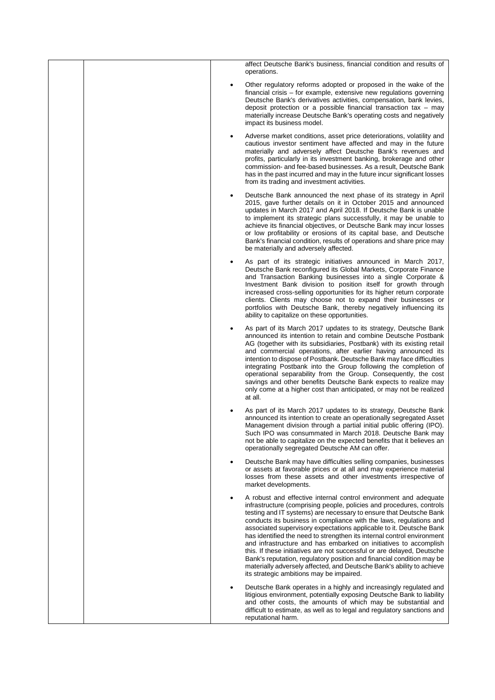| affect Deutsche Bank's business, financial condition and results of<br>operations.                                                                                                                                                                                                                                                                                                                                                                                                                                                                                                                                                                                                                                                                                                |
|-----------------------------------------------------------------------------------------------------------------------------------------------------------------------------------------------------------------------------------------------------------------------------------------------------------------------------------------------------------------------------------------------------------------------------------------------------------------------------------------------------------------------------------------------------------------------------------------------------------------------------------------------------------------------------------------------------------------------------------------------------------------------------------|
| Other regulatory reforms adopted or proposed in the wake of the<br>financial crisis – for example, extensive new regulations governing<br>Deutsche Bank's derivatives activities, compensation, bank levies,<br>deposit protection or a possible financial transaction tax $-$ may<br>materially increase Deutsche Bank's operating costs and negatively<br>impact its business model.                                                                                                                                                                                                                                                                                                                                                                                            |
| Adverse market conditions, asset price deteriorations, volatility and<br>cautious investor sentiment have affected and may in the future<br>materially and adversely affect Deutsche Bank's revenues and<br>profits, particularly in its investment banking, brokerage and other<br>commission- and fee-based businesses. As a result, Deutsche Bank<br>has in the past incurred and may in the future incur significant losses<br>from its trading and investment activities.                                                                                                                                                                                                                                                                                                    |
| Deutsche Bank announced the next phase of its strategy in April<br>٠<br>2015, gave further details on it in October 2015 and announced<br>updates in March 2017 and April 2018. If Deutsche Bank is unable<br>to implement its strategic plans successfully, it may be unable to<br>achieve its financial objectives, or Deutsche Bank may incur losses<br>or low profitability or erosions of its capital base, and Deutsche<br>Bank's financial condition, results of operations and share price may<br>be materially and adversely affected.                                                                                                                                                                                                                                   |
| As part of its strategic initiatives announced in March 2017,<br>Deutsche Bank reconfigured its Global Markets, Corporate Finance<br>and Transaction Banking businesses into a single Corporate &<br>Investment Bank division to position itself for growth through<br>increased cross-selling opportunities for its higher return corporate<br>clients. Clients may choose not to expand their businesses or<br>portfolios with Deutsche Bank, thereby negatively influencing its<br>ability to capitalize on these opportunities.                                                                                                                                                                                                                                               |
| As part of its March 2017 updates to its strategy, Deutsche Bank<br>announced its intention to retain and combine Deutsche Postbank<br>AG (together with its subsidiaries, Postbank) with its existing retail<br>and commercial operations, after earlier having announced its<br>intention to dispose of Postbank. Deutsche Bank may face difficulties<br>integrating Postbank into the Group following the completion of<br>operational separability from the Group. Consequently, the cost<br>savings and other benefits Deutsche Bank expects to realize may<br>only come at a higher cost than anticipated, or may not be realized<br>at all.                                                                                                                                |
| As part of its March 2017 updates to its strategy, Deutsche Bank<br>announced its intention to create an operationally segregated Asset<br>Management division through a partial initial public offering (IPO).<br>Such IPO was consummated in March 2018. Deutsche Bank may<br>not be able to capitalize on the expected benefits that it believes an<br>operationally segregated Deutsche AM can offer.                                                                                                                                                                                                                                                                                                                                                                         |
| Deutsche Bank may have difficulties selling companies, businesses<br>or assets at favorable prices or at all and may experience material<br>losses from these assets and other investments irrespective of<br>market developments.                                                                                                                                                                                                                                                                                                                                                                                                                                                                                                                                                |
| A robust and effective internal control environment and adequate<br>infrastructure (comprising people, policies and procedures, controls<br>testing and IT systems) are necessary to ensure that Deutsche Bank<br>conducts its business in compliance with the laws, regulations and<br>associated supervisory expectations applicable to it. Deutsche Bank<br>has identified the need to strengthen its internal control environment<br>and infrastructure and has embarked on initiatives to accomplish<br>this. If these initiatives are not successful or are delayed, Deutsche<br>Bank's reputation, regulatory position and financial condition may be<br>materially adversely affected, and Deutsche Bank's ability to achieve<br>its strategic ambitions may be impaired. |
| Deutsche Bank operates in a highly and increasingly regulated and<br>litigious environment, potentially exposing Deutsche Bank to liability<br>and other costs, the amounts of which may be substantial and<br>difficult to estimate, as well as to legal and regulatory sanctions and<br>reputational harm.                                                                                                                                                                                                                                                                                                                                                                                                                                                                      |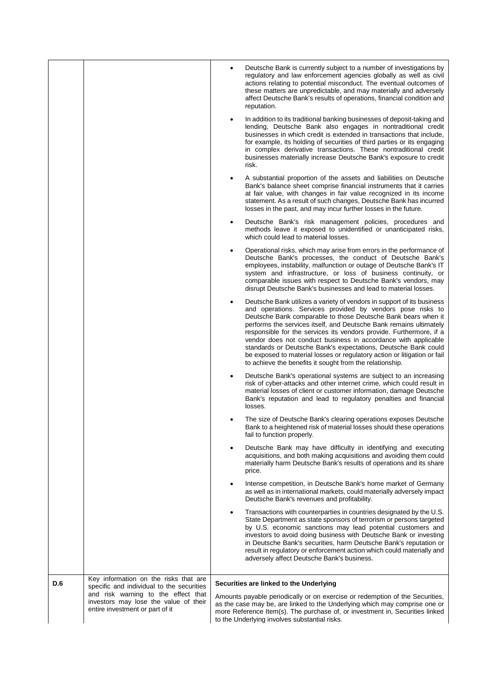|     |                                                                                                                           | Deutsche Bank is currently subject to a number of investigations by<br>regulatory and law enforcement agencies globally as well as civil<br>actions relating to potential misconduct. The eventual outcomes of<br>these matters are unpredictable, and may materially and adversely<br>affect Deutsche Bank's results of operations, financial condition and<br>reputation.                                                                                                                                                                                                                                                    |
|-----|---------------------------------------------------------------------------------------------------------------------------|--------------------------------------------------------------------------------------------------------------------------------------------------------------------------------------------------------------------------------------------------------------------------------------------------------------------------------------------------------------------------------------------------------------------------------------------------------------------------------------------------------------------------------------------------------------------------------------------------------------------------------|
|     |                                                                                                                           | In addition to its traditional banking businesses of deposit-taking and<br>lending, Deutsche Bank also engages in nontraditional credit<br>businesses in which credit is extended in transactions that include,<br>for example, its holding of securities of third parties or its engaging<br>in complex derivative transactions. These nontraditional credit<br>businesses materially increase Deutsche Bank's exposure to credit<br>risk.                                                                                                                                                                                    |
|     |                                                                                                                           | A substantial proportion of the assets and liabilities on Deutsche<br>Bank's balance sheet comprise financial instruments that it carries<br>at fair value, with changes in fair value recognized in its income<br>statement. As a result of such changes, Deutsche Bank has incurred<br>losses in the past, and may incur further losses in the future.                                                                                                                                                                                                                                                                       |
|     |                                                                                                                           | Deutsche Bank's risk management policies, procedures and<br>methods leave it exposed to unidentified or unanticipated risks,<br>which could lead to material losses.                                                                                                                                                                                                                                                                                                                                                                                                                                                           |
|     |                                                                                                                           | Operational risks, which may arise from errors in the performance of<br>Deutsche Bank's processes, the conduct of Deutsche Bank's<br>employees, instability, malfunction or outage of Deutsche Bank's IT<br>system and infrastructure, or loss of business continuity, or<br>comparable issues with respect to Deutsche Bank's vendors, may<br>disrupt Deutsche Bank's businesses and lead to material losses.                                                                                                                                                                                                                 |
|     |                                                                                                                           | Deutsche Bank utilizes a variety of vendors in support of its business<br>and operations. Services provided by vendors pose risks to<br>Deutsche Bank comparable to those Deutsche Bank bears when it<br>performs the services itself, and Deutsche Bank remains ultimately<br>responsible for the services its vendors provide. Furthermore, if a<br>vendor does not conduct business in accordance with applicable<br>standards or Deutsche Bank's expectations, Deutsche Bank could<br>be exposed to material losses or regulatory action or litigation or fail<br>to achieve the benefits it sought from the relationship. |
|     |                                                                                                                           | Deutsche Bank's operational systems are subject to an increasing<br>risk of cyber-attacks and other internet crime, which could result in<br>material losses of client or customer information, damage Deutsche<br>Bank's reputation and lead to regulatory penalties and financial<br>losses.                                                                                                                                                                                                                                                                                                                                 |
|     |                                                                                                                           | The size of Deutsche Bank's clearing operations exposes Deutsche<br>Bank to a heightened risk of material losses should these operations<br>fail to function properly.                                                                                                                                                                                                                                                                                                                                                                                                                                                         |
|     |                                                                                                                           | Deutsche Bank may have difficulty in identifying and executing<br>acquisitions, and both making acquisitions and avoiding them could<br>materially harm Deutsche Bank's results of operations and its share<br>price.                                                                                                                                                                                                                                                                                                                                                                                                          |
|     |                                                                                                                           | Intense competition, in Deutsche Bank's home market of Germany<br>as well as in international markets, could materially adversely impact<br>Deutsche Bank's revenues and profitability.                                                                                                                                                                                                                                                                                                                                                                                                                                        |
|     |                                                                                                                           | Transactions with counterparties in countries designated by the U.S.<br>State Department as state sponsors of terrorism or persons targeted<br>by U.S. economic sanctions may lead potential customers and<br>investors to avoid doing business with Deutsche Bank or investing<br>in Deutsche Bank's securities, harm Deutsche Bank's reputation or<br>result in regulatory or enforcement action which could materially and<br>adversely affect Deutsche Bank's business.                                                                                                                                                    |
| D.6 | Key information on the risks that are<br>specific and individual to the securities<br>and risk warning to the effect that | Securities are linked to the Underlying                                                                                                                                                                                                                                                                                                                                                                                                                                                                                                                                                                                        |
|     | investors may lose the value of their<br>entire investment or part of it                                                  | Amounts payable periodically or on exercise or redemption of the Securities,<br>as the case may be, are linked to the Underlying which may comprise one or<br>more Reference Item(s). The purchase of, or investment in, Securities linked<br>to the Underlying involves substantial risks.                                                                                                                                                                                                                                                                                                                                    |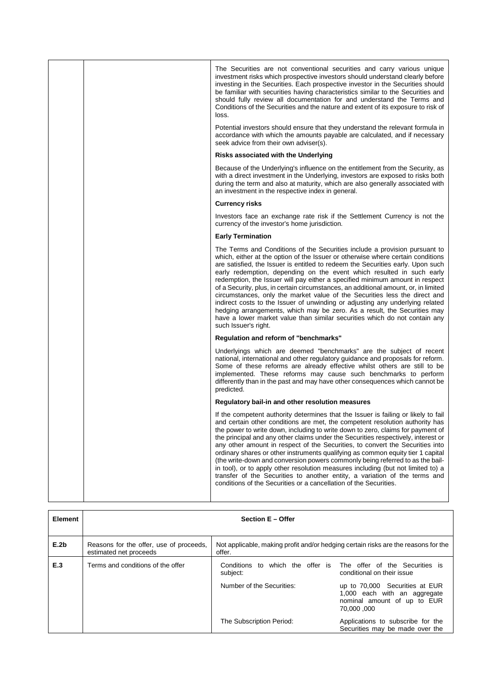|  | The Securities are not conventional securities and carry various unique<br>investment risks which prospective investors should understand clearly before<br>investing in the Securities. Each prospective investor in the Securities should<br>be familiar with securities having characteristics similar to the Securities and<br>should fully review all documentation for and understand the Terms and<br>Conditions of the Securities and the nature and extent of its exposure to risk of<br>loss.                                                                                                                                                                                                                                                                                                                                           |
|--|---------------------------------------------------------------------------------------------------------------------------------------------------------------------------------------------------------------------------------------------------------------------------------------------------------------------------------------------------------------------------------------------------------------------------------------------------------------------------------------------------------------------------------------------------------------------------------------------------------------------------------------------------------------------------------------------------------------------------------------------------------------------------------------------------------------------------------------------------|
|  | Potential investors should ensure that they understand the relevant formula in<br>accordance with which the amounts payable are calculated, and if necessary<br>seek advice from their own adviser(s).                                                                                                                                                                                                                                                                                                                                                                                                                                                                                                                                                                                                                                            |
|  | Risks associated with the Underlying                                                                                                                                                                                                                                                                                                                                                                                                                                                                                                                                                                                                                                                                                                                                                                                                              |
|  | Because of the Underlying's influence on the entitlement from the Security, as<br>with a direct investment in the Underlying, investors are exposed to risks both<br>during the term and also at maturity, which are also generally associated with<br>an investment in the respective index in general.                                                                                                                                                                                                                                                                                                                                                                                                                                                                                                                                          |
|  | <b>Currency risks</b>                                                                                                                                                                                                                                                                                                                                                                                                                                                                                                                                                                                                                                                                                                                                                                                                                             |
|  | Investors face an exchange rate risk if the Settlement Currency is not the<br>currency of the investor's home jurisdiction.                                                                                                                                                                                                                                                                                                                                                                                                                                                                                                                                                                                                                                                                                                                       |
|  | <b>Early Termination</b>                                                                                                                                                                                                                                                                                                                                                                                                                                                                                                                                                                                                                                                                                                                                                                                                                          |
|  | The Terms and Conditions of the Securities include a provision pursuant to<br>which, either at the option of the Issuer or otherwise where certain conditions<br>are satisfied, the Issuer is entitled to redeem the Securities early. Upon such<br>early redemption, depending on the event which resulted in such early<br>redemption, the Issuer will pay either a specified minimum amount in respect<br>of a Security, plus, in certain circumstances, an additional amount, or, in limited<br>circumstances, only the market value of the Securities less the direct and<br>indirect costs to the Issuer of unwinding or adjusting any underlying related<br>hedging arrangements, which may be zero. As a result, the Securities may<br>have a lower market value than similar securities which do not contain any<br>such Issuer's right. |
|  | Regulation and reform of "benchmarks"                                                                                                                                                                                                                                                                                                                                                                                                                                                                                                                                                                                                                                                                                                                                                                                                             |
|  | Underlyings which are deemed "benchmarks" are the subject of recent<br>national, international and other regulatory guidance and proposals for reform.<br>Some of these reforms are already effective whilst others are still to be<br>implemented. These reforms may cause such benchmarks to perform<br>differently than in the past and may have other consequences which cannot be<br>predicted.                                                                                                                                                                                                                                                                                                                                                                                                                                              |
|  | Regulatory bail-in and other resolution measures                                                                                                                                                                                                                                                                                                                                                                                                                                                                                                                                                                                                                                                                                                                                                                                                  |
|  | If the competent authority determines that the Issuer is failing or likely to fail<br>and certain other conditions are met, the competent resolution authority has<br>the power to write down, including to write down to zero, claims for payment of<br>the principal and any other claims under the Securities respectively, interest or<br>any other amount in respect of the Securities, to convert the Securities into<br>ordinary shares or other instruments qualifying as common equity tier 1 capital<br>(the write-down and conversion powers commonly being referred to as the bail-<br>in tool), or to apply other resolution measures including (but not limited to) a<br>transfer of the Securities to another entity, a variation of the terms and<br>conditions of the Securities or a cancellation of the Securities.            |
|  |                                                                                                                                                                                                                                                                                                                                                                                                                                                                                                                                                                                                                                                                                                                                                                                                                                                   |

| <b>Element</b> | <b>Section E - Offer</b>                                          |                                                                                              |                                                                                                             |  |  |
|----------------|-------------------------------------------------------------------|----------------------------------------------------------------------------------------------|-------------------------------------------------------------------------------------------------------------|--|--|
| E.2b           | Reasons for the offer, use of proceeds,<br>estimated net proceeds | Not applicable, making profit and/or hedging certain risks are the reasons for the<br>offer. |                                                                                                             |  |  |
| E.3            | Terms and conditions of the offer                                 | Conditions to which the offer is The offer of the Securities is<br>subject:                  | conditional on their issue                                                                                  |  |  |
|                |                                                                   | Number of the Securities:                                                                    | up to 70,000 Securities at EUR<br>1,000 each with an aggregate<br>nominal amount of up to EUR<br>70,000,000 |  |  |
|                |                                                                   | The Subscription Period:                                                                     | Applications to subscribe for the<br>Securities may be made over the                                        |  |  |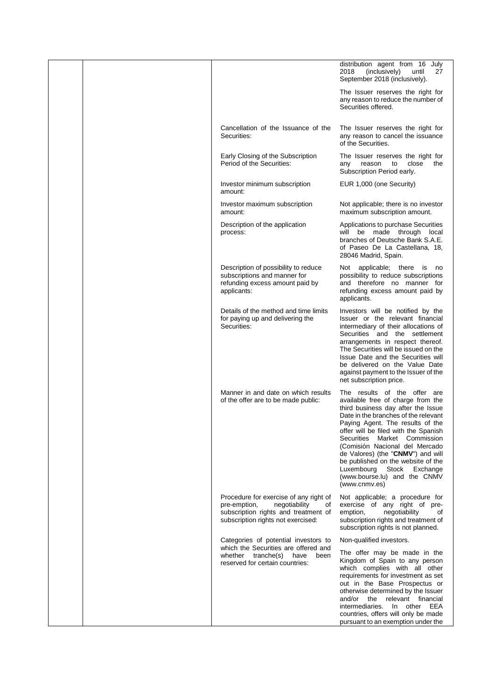|  |                                                                                                                                                             | distribution agent from 16 July<br>(inclusively)<br>2018<br>until<br>27<br>September 2018 (inclusively).                                                                                                                                                                                                                                                                                                                                                        |
|--|-------------------------------------------------------------------------------------------------------------------------------------------------------------|-----------------------------------------------------------------------------------------------------------------------------------------------------------------------------------------------------------------------------------------------------------------------------------------------------------------------------------------------------------------------------------------------------------------------------------------------------------------|
|  |                                                                                                                                                             | The Issuer reserves the right for<br>any reason to reduce the number of<br>Securities offered.                                                                                                                                                                                                                                                                                                                                                                  |
|  | Cancellation of the Issuance of the<br>Securities:                                                                                                          | The Issuer reserves the right for<br>any reason to cancel the issuance<br>of the Securities.                                                                                                                                                                                                                                                                                                                                                                    |
|  | Early Closing of the Subscription<br>Period of the Securities:                                                                                              | The Issuer reserves the right for<br>close<br>the<br>reason<br>to<br>any<br>Subscription Period early.                                                                                                                                                                                                                                                                                                                                                          |
|  | Investor minimum subscription<br>amount:                                                                                                                    | EUR 1,000 (one Security)                                                                                                                                                                                                                                                                                                                                                                                                                                        |
|  | Investor maximum subscription<br>amount:                                                                                                                    | Not applicable; there is no investor<br>maximum subscription amount.                                                                                                                                                                                                                                                                                                                                                                                            |
|  | Description of the application<br>process:                                                                                                                  | Applications to purchase Securities<br>will be made through local<br>branches of Deutsche Bank S.A.E.<br>of Paseo De La Castellana, 18.<br>28046 Madrid, Spain.                                                                                                                                                                                                                                                                                                 |
|  | Description of possibility to reduce<br>subscriptions and manner for<br>refunding excess amount paid by<br>applicants:                                      | Not applicable; there is no<br>possibility to reduce subscriptions<br>and therefore no manner for<br>refunding excess amount paid by<br>applicants.                                                                                                                                                                                                                                                                                                             |
|  | Details of the method and time limits<br>for paying up and delivering the<br>Securities:                                                                    | Investors will be notified by the<br>Issuer or the relevant financial<br>intermediary of their allocations of<br>Securities and the settlement<br>arrangements in respect thereof.<br>The Securities will be issued on the<br>Issue Date and the Securities will<br>be delivered on the Value Date<br>against payment to the Issuer of the<br>net subscription price.                                                                                           |
|  | Manner in and date on which results<br>of the offer are to be made public:                                                                                  | The results of the offer are<br>available free of charge from the<br>third business day after the Issue<br>Date in the branches of the relevant<br>Paying Agent. The results of the<br>offer will be filed with the Spanish<br>Securities<br>Market Commission<br>(Comisión Nacional del Mercado<br>de Valores) (the "CNMV") and will<br>be published on the website of the<br>Luxembourg<br>Stock<br>Exchange<br>(www.bourse.lu) and the CNMV<br>(www.cnmv.es) |
|  | Procedure for exercise of any right of<br>pre-emption,<br>negotiability<br>οf<br>subscription rights and treatment of<br>subscription rights not exercised: | Not applicable; a procedure for<br>exercise of any right of pre-<br>negotiability<br>emption,<br>οf<br>subscription rights and treatment of<br>subscription rights is not planned.                                                                                                                                                                                                                                                                              |
|  | Categories of potential investors to<br>which the Securities are offered and                                                                                | Non-qualified investors.                                                                                                                                                                                                                                                                                                                                                                                                                                        |
|  | whether tranche(s) have<br>been<br>reserved for certain countries:                                                                                          | The offer may be made in the<br>Kingdom of Spain to any person<br>which complies with all other<br>requirements for investment as set<br>out in the Base Prospectus or<br>otherwise determined by the Issuer<br>and/or the<br>relevant financial<br>intermediaries. In other EEA<br>countries, offers will only be made<br>pursuant to an exemption under the                                                                                                   |